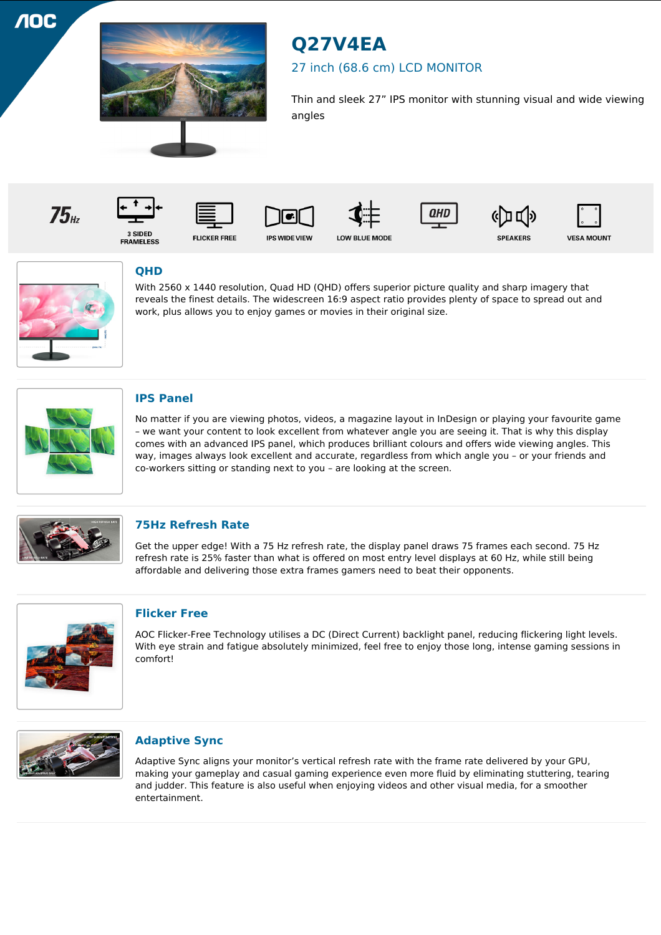**10C** 



# **Q27V4EA**

## 27 inch (68.6 cm) LCD MONITOR

Thin and sleek 27" IPS monitor with stunning visual and wide viewing angles















3 SIDED<br>FRAMELESS

**FLICKER FREE** 



**IPS WIDE VIEW** 







**VESA MOUNT** 



# **QHD**

With 2560 x 1440 resolution, Quad HD (QHD) offers superior picture quality and sharp imagery that reveals the finest details. The widescreen 16:9 aspect ratio provides plenty of space to spread out and work, plus allows you to enjoy games or movies in their original size.



## **IPS Panel**

No matter if you are viewing photos, videos, a magazine layout in InDesign or playing your favourite game – we want your content to look excellent from whatever angle you are seeing it. That is why this display comes with an advanced IPS panel, which produces brilliant colours and offers wide viewing angles. This way, images always look excellent and accurate, regardless from which angle you – or your friends and co-workers sitting or standing next to you – are looking at the screen.



## **75Hz Refresh Rate**

Get the upper edge! With a 75 Hz refresh rate, the display panel draws 75 frames each second. 75 Hz refresh rate is 25% faster than what is offered on most entry level displays at 60 Hz, while still being affordable and delivering those extra frames gamers need to beat their opponents.



## **Flicker Free**

AOC Flicker-Free Technology utilises a DC (Direct Current) backlight panel, reducing flickering light levels. With eye strain and fatigue absolutely minimized, feel free to enjoy those long, intense gaming sessions in comfort!



## **Adaptive Sync**

Adaptive Sync aligns your monitor's vertical refresh rate with the frame rate delivered by your GPU, making your gameplay and casual gaming experience even more fluid by eliminating stuttering, tearing and judder. This feature is also useful when enjoying videos and other visual media, for a smoother entertainment.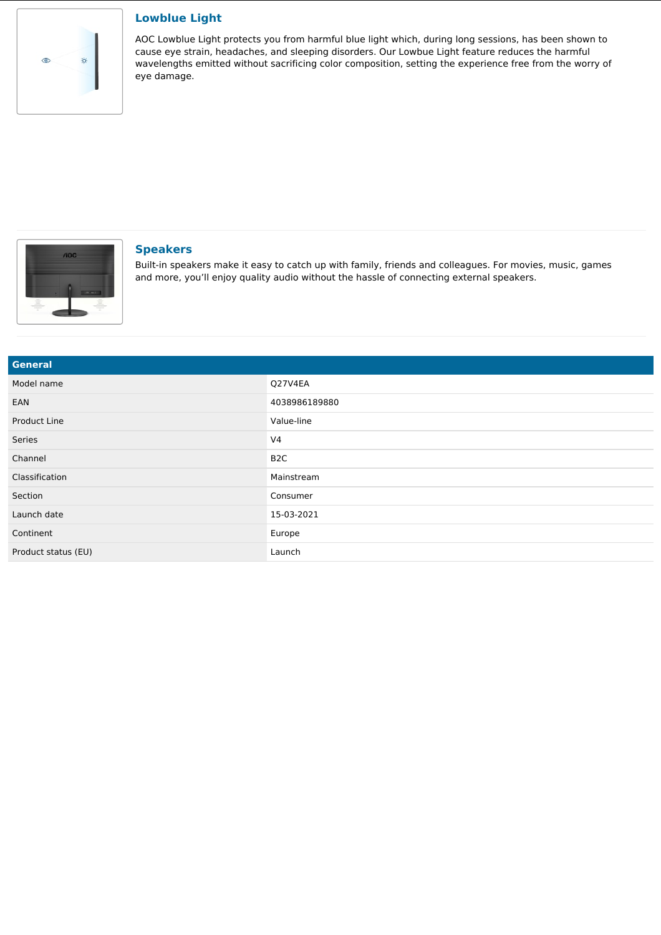

#### **Lowblue Light**

AOC Lowblue Light protects you from harmful blue light which, during long sessions, has been shown to cause eye strain, headaches, and sleeping disorders. Our Lowbue Light feature reduces the harmful wavelengths emitted without sacrificing color composition, setting the experience free from the worry of eye damage.



#### **Speakers**

Built-in speakers make it easy to catch up with family, friends and colleagues. For movies, music, games and more, you'll enjoy quality audio without the hassle of connecting external speakers.

| <b>General</b>      |                  |
|---------------------|------------------|
| Model name          | Q27V4EA          |
| EAN                 | 4038986189880    |
| Product Line        | Value-line       |
| Series              | V <sub>4</sub>   |
| Channel             | B <sub>2</sub> C |
| Classification      | Mainstream       |
| Section             | Consumer         |
| Launch date         | 15-03-2021       |
| Continent           | Europe           |
| Product status (EU) | Launch           |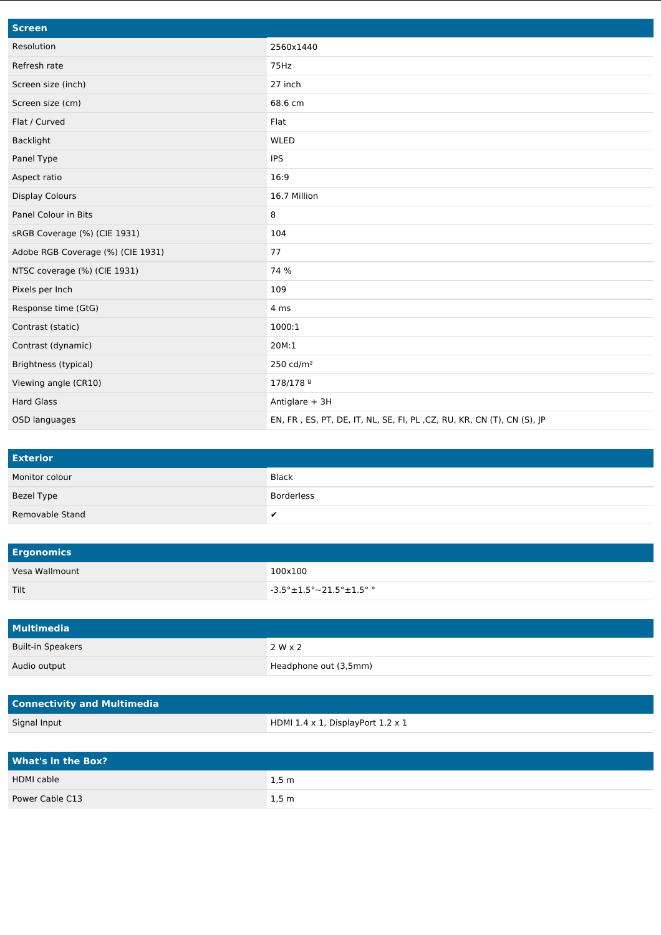| <b>Screen</b>                     |                                                                        |
|-----------------------------------|------------------------------------------------------------------------|
| Resolution                        | 2560x1440                                                              |
| Refresh rate                      | 75Hz                                                                   |
| Screen size (inch)                | 27 inch                                                                |
| Screen size (cm)                  | 68.6 cm                                                                |
| Flat / Curved                     | Flat                                                                   |
| <b>Backlight</b>                  | WLED                                                                   |
| Panel Type                        | <b>IPS</b>                                                             |
| Aspect ratio                      | 16:9                                                                   |
| <b>Display Colours</b>            | 16.7 Million                                                           |
| Panel Colour in Bits              | 8                                                                      |
| sRGB Coverage (%) (CIE 1931)      | 104                                                                    |
| Adobe RGB Coverage (%) (CIE 1931) | 77                                                                     |
| NTSC coverage (%) (CIE 1931)      | 74 %                                                                   |
| Pixels per Inch                   | 109                                                                    |
| Response time (GtG)               | 4 ms                                                                   |
| Contrast (static)                 | 1000:1                                                                 |
| Contrast (dynamic)                | 20M:1                                                                  |
| Brightness (typical)              | 250 cd/ $m2$                                                           |
| Viewing angle (CR10)              | 178/178 9                                                              |
| <b>Hard Glass</b>                 | Antiglare + 3H                                                         |
| OSD languages                     | EN, FR, ES, PT, DE, IT, NL, SE, FI, PL, CZ, RU, KR, CN (T), CN (S), JP |

| <b>Exterior</b> |              |
|-----------------|--------------|
| Monitor colour  | <b>Black</b> |
| Bezel Type      | Borderless   |
| Removable Stand | v            |

| <b>Ergonomics</b> |                                                   |
|-------------------|---------------------------------------------------|
| Vesa Wallmount    | 100x100                                           |
| Tilt              | $\sim$ -3.5° $\pm$ 1.5° $\sim$ 21.5° $\pm$ 1.5° ° |

| Multimedia               |                       |
|--------------------------|-----------------------|
| <b>Built-in Speakers</b> | 2 W x 2               |
| Audio output             | Headphone out (3,5mm) |

| <b>Connectivity and Multimedia</b> |                                                  |
|------------------------------------|--------------------------------------------------|
| Signal Input                       | HDMI $1.4 \times 1$ , DisplayPort $1.2 \times 1$ |

| <b>What's in the Box?</b> |                   |
|---------------------------|-------------------|
| <b>HDMI</b> cable         | $1,5 \, \text{m}$ |
| Power Cable C13           | 1,5 m             |